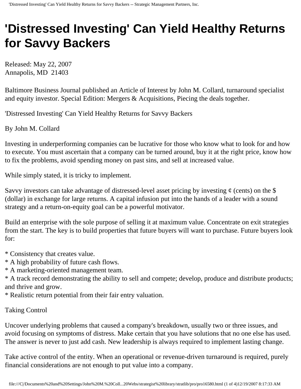## **'Distressed Investing' Can Yield Healthy Returns for Savvy Backers**

Released: May 22, 2007 Annapolis, MD 21403

Baltimore Business Journal published an Article of Interest by John M. Collard, turnaround specialist and equity investor. Special Edition: Mergers & Acquisitions, Piecing the deals together.

'Distressed Investing' Can Yield Healthy Returns for Savvy Backers

By John M. Collard

Investing in underperforming companies can be lucrative for those who know what to look for and how to execute. You must ascertain that a company can be turned around, buy it at the right price, know how to fix the problems, avoid spending money on past sins, and sell at increased value.

While simply stated, it is tricky to implement.

Savvy investors can take advantage of distressed-level asset pricing by investing  $\phi$  (cents) on the \$ (dollar) in exchange for large returns. A capital infusion put into the hands of a leader with a sound strategy and a return-on-equity goal can be a powerful motivator.

Build an enterprise with the sole purpose of selling it at maximum value. Concentrate on exit strategies from the start. The key is to build properties that future buyers will want to purchase. Future buyers look for:

\* Consistency that creates value.

\* A high probability of future cash flows.

\* A marketing-oriented management team.

\* A track record demonstrating the ability to sell and compete; develop, produce and distribute products; and thrive and grow.

\* Realistic return potential from their fair entry valuation.

## Taking Control

Uncover underlying problems that caused a company's breakdown, usually two or three issues, and avoid focusing on symptoms of distress. Make certain that you have solutions that no one else has used. The answer is never to just add cash. New leadership is always required to implement lasting change.

Take active control of the entity. When an operational or revenue-driven turnaround is required, purely financial considerations are not enough to put value into a company.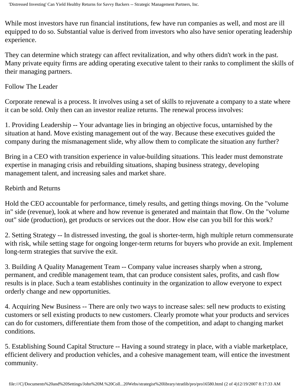While most investors have run financial institutions, few have run companies as well, and most are ill equipped to do so. Substantial value is derived from investors who also have senior operating leadership experience.

They can determine which strategy can affect revitalization, and why others didn't work in the past. Many private equity firms are adding operating executive talent to their ranks to compliment the skills of their managing partners.

## Follow The Leader

Corporate renewal is a process. It involves using a set of skills to rejuvenate a company to a state where it can be sold. Only then can an investor realize returns. The renewal process involves:

1. Providing Leadership -- Your advantage lies in bringing an objective focus, untarnished by the situation at hand. Move existing management out of the way. Because these executives guided the company during the mismanagement slide, why allow them to complicate the situation any further?

Bring in a CEO with transition experience in value-building situations. This leader must demonstrate expertise in managing crisis and rebuilding situations, shaping business strategy, developing management talent, and increasing sales and market share.

## Rebirth and Returns

Hold the CEO accountable for performance, timely results, and getting things moving. On the "volume in" side (revenue), look at where and how revenue is generated and maintain that flow. On the "volume out" side (production), get products or services out the door. How else can you bill for this work?

2. Setting Strategy -- In distressed investing, the goal is shorter-term, high multiple return commensurate with risk, while setting stage for ongoing longer-term returns for buyers who provide an exit. Implement long-term strategies that survive the exit.

3. Building A Quality Management Team -- Company value increases sharply when a strong, permanent, and credible management team, that can produce consistent sales, profits, and cash flow results is in place. Such a team establishes continuity in the organization to allow everyone to expect orderly change and new opportunities.

4. Acquiring New Business -- There are only two ways to increase sales: sell new products to existing customers or sell existing products to new customers. Clearly promote what your products and services can do for customers, differentiate them from those of the competition, and adapt to changing market conditions.

5. Establishing Sound Capital Structure -- Having a sound strategy in place, with a viable marketplace, efficient delivery and production vehicles, and a cohesive management team, will entice the investment community.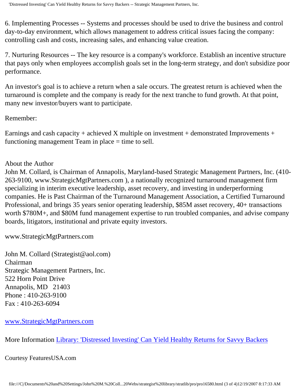6. Implementing Processes -- Systems and processes should be used to drive the business and control day-to-day environment, which allows management to address critical issues facing the company: controlling cash and costs, increasing sales, and enhancing value creation.

7. Nurturing Resources -- The key resource is a company's workforce. Establish an incentive structure that pays only when employees accomplish goals set in the long-term strategy, and don't subsidize poor performance.

An investor's goal is to achieve a return when a sale occurs. The greatest return is achieved when the turnaround is complete and the company is ready for the next tranche to fund growth. At that point, many new investor/buyers want to participate.

Remember:

Earnings and cash capacity + achieved X multiple on investment + demonstrated Improvements + functioning management Team in place  $=$  time to sell.

About the Author

John M. Collard, is Chairman of Annapolis, Maryland-based Strategic Management Partners, Inc. (410- 263-9100, www.StrategicMgtPartners.com ), a nationally recognized turnaround management firm specializing in interim executive leadership, asset recovery, and investing in underperforming companies. He is Past Chairman of the Turnaround Management Association, a Certified Turnaround Professional, and brings 35 years senior operating leadership, \$85M asset recovery, 40+ transactions worth \$780M+, and \$80M fund management expertise to run troubled companies, and advise company boards, litigators, institutional and private equity investors.

www.StrategicMgtPartners.com

John M. Collard (Strategist@aol.com) Chairman Strategic Management Partners, Inc. 522 Horn Point Drive Annapolis, MD 21403 Phone : 410-263-9100 Fax : 410-263-6094

[www.StrategicMgtPartners.com](http://www.strategicmgtpartners.com/)

More Information [Library: 'Distressed Investing' Can Yield Healthy Returns for Savvy Backers](http://members.aol.com/stratlib3/bbjmar07.html)

Courtesy FeaturesUSA.com